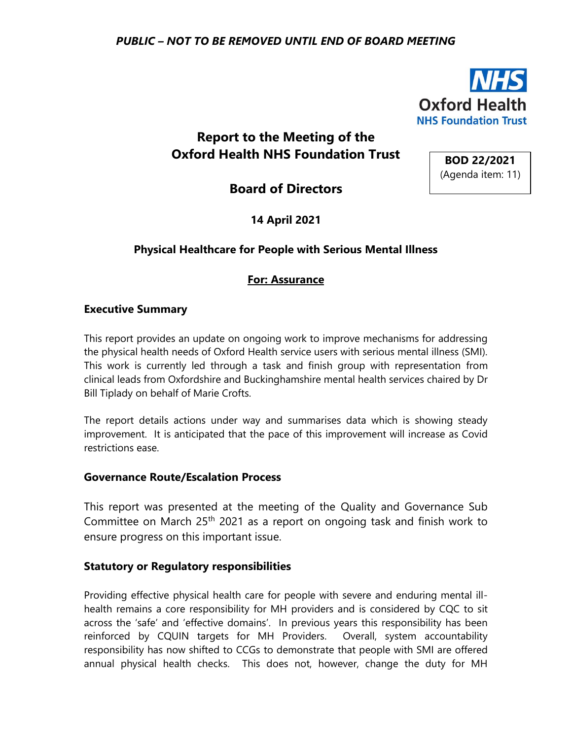

# **Report to the Meeting of the Oxford Health NHS Foundation Trust**

**Board of Directors**

**14 April 2021**

## **Physical Healthcare for People with Serious Mental Illness**

## **For: Assurance**

#### **Executive Summary**

This report provides an update on ongoing work to improve mechanisms for addressing the physical health needs of Oxford Health service users with serious mental illness (SMI). This work is currently led through a task and finish group with representation from clinical leads from Oxfordshire and Buckinghamshire mental health services chaired by Dr Bill Tiplady on behalf of Marie Crofts.

The report details actions under way and summarises data which is showing steady improvement. It is anticipated that the pace of this improvement will increase as Covid restrictions ease.

#### **Governance Route/Escalation Process**

This report was presented at the meeting of the Quality and Governance Sub Committee on March 25<sup>th</sup> 2021 as a report on ongoing task and finish work to ensure progress on this important issue.

#### **Statutory or Regulatory responsibilities**

Providing effective physical health care for people with severe and enduring mental illhealth remains a core responsibility for MH providers and is considered by CQC to sit across the 'safe' and 'effective domains'. In previous years this responsibility has been reinforced by CQUIN targets for MH Providers. Overall, system accountability responsibility has now shifted to CCGs to demonstrate that people with SMI are offered annual physical health checks. This does not, however, change the duty for MH

**BOD 22/2021** (Agenda item: 11)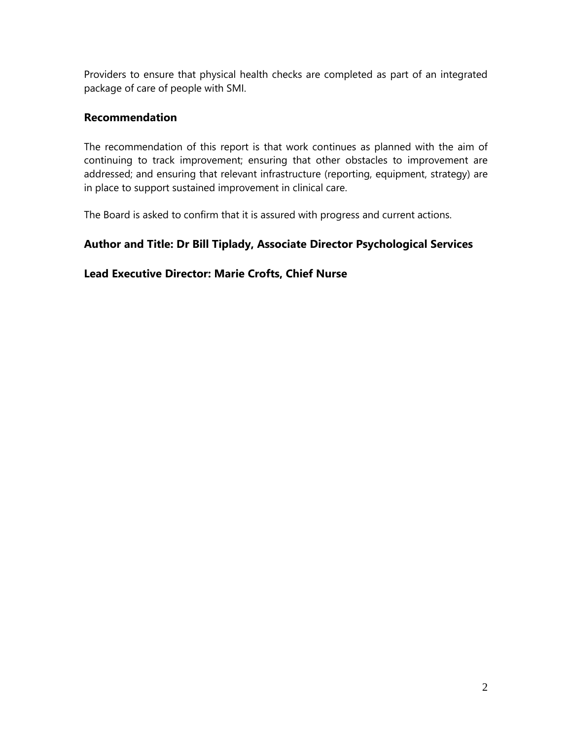Providers to ensure that physical health checks are completed as part of an integrated package of care of people with SMI.

#### **Recommendation**

The recommendation of this report is that work continues as planned with the aim of continuing to track improvement; ensuring that other obstacles to improvement are addressed; and ensuring that relevant infrastructure (reporting, equipment, strategy) are in place to support sustained improvement in clinical care.

The Board is asked to confirm that it is assured with progress and current actions.

## **Author and Title: Dr Bill Tiplady, Associate Director Psychological Services**

## **Lead Executive Director: Marie Crofts, Chief Nurse**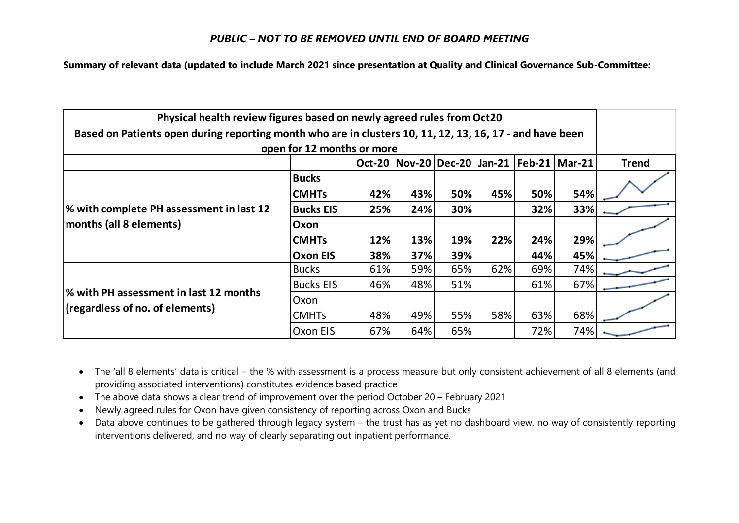#### *PUBLIC – NOT TO BE REMOVED UNTIL END OF BOARD MEETING*

**Summary of relevant data (updated to include March 2021 since presentation at Quality and Clinical Governance Sub-Committee:**

| Physical health review figures based on newly agreed rules from Oct20                                    |                            |     |                                                     |     |     |     |     |              |  |
|----------------------------------------------------------------------------------------------------------|----------------------------|-----|-----------------------------------------------------|-----|-----|-----|-----|--------------|--|
| Based on Patients open during reporting month who are in clusters 10, 11, 12, 13, 16, 17 - and have been |                            |     |                                                     |     |     |     |     |              |  |
|                                                                                                          | open for 12 months or more |     |                                                     |     |     |     |     |              |  |
|                                                                                                          |                            |     | Oct-20   Nov-20   Dec-20   Jan-21   Feb-21   Mar-21 |     |     |     |     | <b>Trend</b> |  |
| % with complete PH assessment in last 12<br>months (all 8 elements)                                      | <b>Bucks</b>               |     |                                                     |     |     |     |     |              |  |
|                                                                                                          | <b>CMHTs</b>               | 42% | 43%                                                 | 50% | 45% | 50% | 54% |              |  |
|                                                                                                          | <b>Bucks EIS</b>           | 25% | 24%                                                 | 30% |     | 32% | 33% |              |  |
|                                                                                                          | Oxon                       |     |                                                     |     |     |     |     |              |  |
|                                                                                                          | <b>CMHTs</b>               | 12% | 13%                                                 | 19% | 22% | 24% | 29% |              |  |
|                                                                                                          | <b>Oxon EIS</b>            | 38% | 37%                                                 | 39% |     | 44% | 45% |              |  |
| % with PH assessment in last 12 months<br>(regardless of no. of elements)                                | <b>Bucks</b>               | 61% | 59%                                                 | 65% | 62% | 69% | 74% |              |  |
|                                                                                                          | <b>Bucks EIS</b>           | 46% | 48%                                                 | 51% |     | 61% | 67% |              |  |
|                                                                                                          | Oxon                       |     |                                                     |     |     |     |     |              |  |
|                                                                                                          | <b>CMHTs</b>               | 48% | 49%                                                 | 55% | 58% | 63% | 68% |              |  |
|                                                                                                          | Oxon EIS                   | 67% | 64%                                                 | 65% |     | 72% | 74% |              |  |

- The 'all 8 elements' data is critical the % with assessment is a process measure but only consistent achievement of all 8 elements (and providing associated interventions) constitutes evidence based practice
- The above data shows a clear trend of improvement over the period October 20 February 2021
- Newly agreed rules for Oxon have given consistency of reporting across Oxon and Bucks
- Data above continues to be gathered through legacy system the trust has as yet no dashboard view, no way of consistently reporting interventions delivered, and no way of clearly separating out inpatient performance.